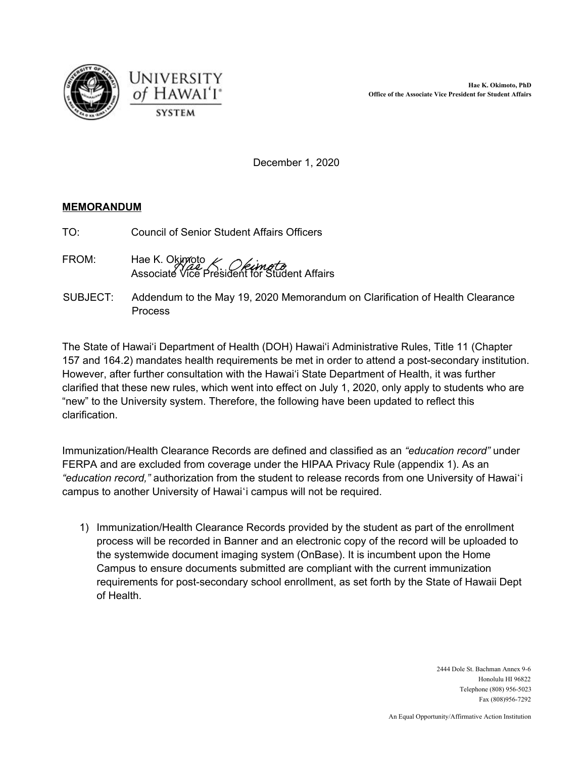



December 1, 2020

## **MEMORANDUM**

- TO: Council of Senior Student Affairs Officers
- FROM: Hae K. Okimoto Associate Vice President for Student Affairs
- SUBJECT: Addendum to the May 19, 2020 Memorandum on Clarification of Health Clearance **Process**

 The State of Hawai'i Department of Health (DOH) Hawai'i Administrative Rules, Title 11 (Chapter 157 and 164.2) mandates health requirements be met in order to attend a post-secondary institution. However, after further consultation with the Hawai'i State Department of Health, it was further clarified that these new rules, which went into effect on July 1, 2020, only apply to students who are "new" to the University system. Therefore, the following have been updated to reflect this clarification.

 Immunization/Health Clearance Records are defined and classified as an *"education record"* under FERPA and are excluded from coverage under the HIPAA Privacy Rule (appendix 1). As an *"education record,"* authorization from the student to release records from one University of Hawaiʻi campus to another University of Hawaiʻi campus will not be required.

 1) Immunization/Health Clearance Records provided by the student as part of the enrollment process will be recorded in Banner and an electronic copy of the record will be uploaded to the systemwide document imaging system (OnBase). It is incumbent upon the Home Campus to ensure documents submitted are compliant with the current immunization requirements for post-secondary school enrollment, as set forth by the State of Hawaii Dept of Health.

> 2444 Dole St. Bachman Annex 9-6 Honolulu HI 96822 Telephone (808) 956-5023 Fax (808)956-7292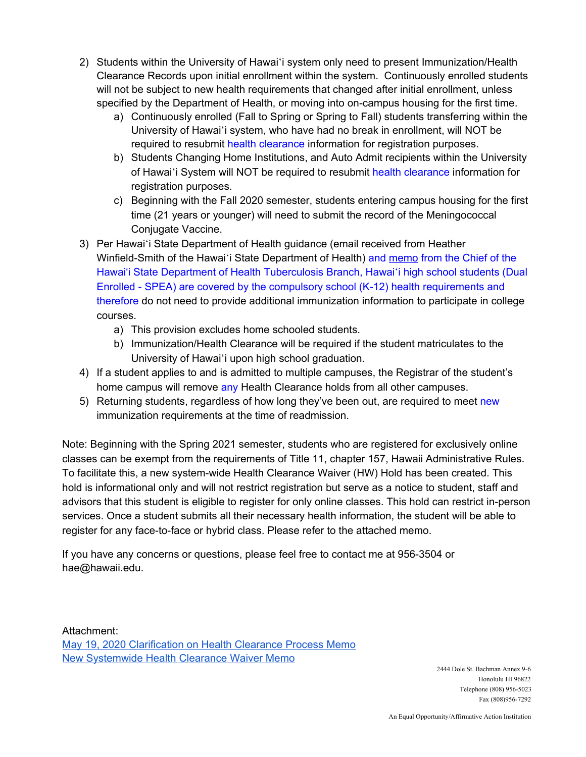- 2) Students within the University of Hawaiʻi system only need to present Immunization/Health Clearance Records upon initial enrollment within the system. Continuously enrolled students will not be subject to new health requirements that changed after initial enrollment, unless specified by the Department of Health, or moving into on-campus housing for the first time.
	- a) Continuously enrolled (Fall to Spring or Spring to Fall) students transferring within the University of Hawaiʻi system, who have had no break in enrollment, will NOT be required to resubmit health clearance information for registration purposes.
	- b) Students Changing Home Institutions, and Auto Admit recipients within the University of Hawai'i System will NOT be required to resubmit health clearance information for registration purposes.
	- c) Beginning with the Fall 2020 semester, students entering campus housing for the first time (21 years or younger) will need to submit the record of the Meningococcal Conjugate Vaccine.
- 3) Per Hawaiʻi State Department of Health guidance (email received from Heather Winfield-Smith of the Hawaiʻi State Department of Health) <mark>and <u>[memo](https://drive.google.com/file/d/1ZhwMW_twj9IZeDBL7slMupdKffhy8ffs/view?usp=sharing)</u> from the Chief of the</mark> Hawai'i State Department of Health Tuberculosis Branch, Hawaiʻi high school students (Dual Enrolled - SPEA) are covered by the compulsory school (K-12) health requirements and therefore do not need to provide additional immunization information to participate in college courses.
	- a) This provision excludes home schooled students.
	- b) Immunization/Health Clearance will be required if the student matriculates to the University of Hawaiʻi upon high school graduation.
- 4) If a student applies to and is admitted to multiple campuses, the Registrar of the student's home campus will remove any Health Clearance holds from all other campuses.
- 5) Returning students, regardless of how long they've been out, are required to meet new immunization requirements at the time of readmission.

 Note: Beginning with the Spring 2021 semester, students who are registered for exclusively online classes can be exempt from the requirements of Title 11, chapter 157, Hawaii Administrative Rules. To facilitate this, a new system-wide Health Clearance Waiver (HW) Hold has been created. This hold is informational only and will not restrict registration but serve as a notice to student, staff and advisors that this student is eligible to register for only online classes. This hold can restrict in-person services. Once a student submits all their necessary health information, the student will be able to register for any face-to-face or hybrid class. Please refer to the attached memo.

 If you have any concerns or questions, please feel free to contact me at 956-3504 or [hae@hawaii.edu](mailto:hae@hawaii.edu).

 May 19, 2020 [Clarification](https://www.hawaii.edu/wp/wp-content/uploads/2020/05/Clarification-on-Health-Clearance-Process-5.19.2020.pdf) on Health Clearance Process Memo **New [Systemwide](https://drive.google.com/file/d/1go8g15sgB-fsaO_lAy0gpW3jfw4XVvXQ/view?usp=sharing) Health Clearance Waiver Memo** Attachment:

 Honolulu HI 96822 Telephone (808) 956-5023 2444 Dole St. Bachman Annex 9-6 Fax (808)956-7292